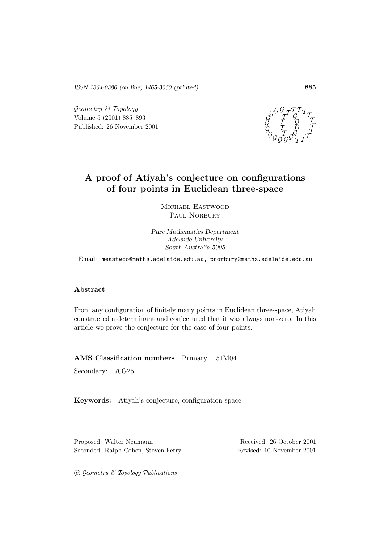*ISSN 1364-0380 (on line) 1465-3060 (printed)* **885**

 $Geometry \& Topology$ Volume 5 (2001) 885–893 Published: 26 November 2001



## **A proof of Atiyah's conjecture on configurations of four points in Euclidean three-space**

Michael Eastwood PAUL NORBURY

*Pure Mathematics Department Adelaide University South Australia 5005*

Email: meastwoo@maths.adelaide.edu.au, pnorbury@maths.adelaide.edu.au

### **Abstract**

From any configuration of finitely many points in Euclidean three-space, Atiyah constructed a determinant and conjectured that it was always non-zero. In this article we prove the conjecture for the case of four points.

**AMS Classification numbers** Primary: 51M04

Secondary: 70G25

**Keywords:** Atiyah's conjecture, configuration space

Proposed: Walter Neumann Received: 26 October 2001 Seconded: Ralph Cohen, Steven Ferry Revised: 10 November 2001

 $C$  Geometry  $C$  Topology Publications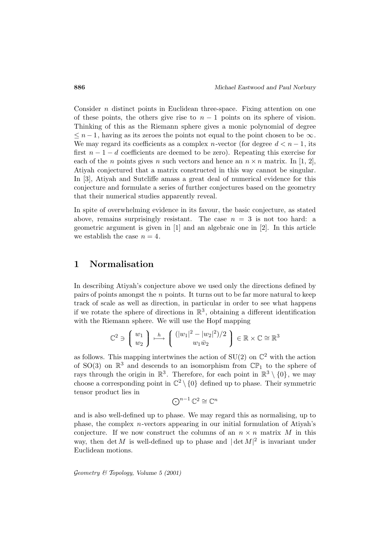Consider  $n$  distinct points in Euclidean three-space. Fixing attention on one of these points, the others give rise to  $n-1$  points on its sphere of vision. Thinking of this as the Riemann sphere gives a monic polynomial of degree  $\leq n-1$ , having as its zeroes the points not equal to the point chosen to be  $\infty$ . We may regard its coefficients as a complex *n*-vector (for degree  $d < n - 1$ , its first  $n-1-d$  coefficients are deemed to be zero). Repeating this exercise for each of the *n* points gives *n* such vectors and hence an  $n \times n$  matrix. In [1, 2], Atiyah conjectured that a matrix constructed in this way cannot be singular. In [3], Atiyah and Sutcliffe amass a great deal of numerical evidence for this conjecture and formulate a series of further conjectures based on the geometry that their numerical studies apparently reveal.

In spite of overwhelming evidence in its favour, the basic conjecture, as stated above, remains surprisingly resistant. The case  $n = 3$  is not too hard: a geometric argument is given in [1] and an algebraic one in [2]. In this article we establish the case  $n = 4$ .

## **1 Normalisation**

In describing Atiyah's conjecture above we used only the directions defined by pairs of points amongst the  $n$  points. It turns out to be far more natural to keep track of scale as well as direction, in particular in order to see what happens if we rotate the sphere of directions in  $\mathbb{R}^3$ , obtaining a different identification with the Riemann sphere. We will use the Hopf mapping

$$
\mathbb{C}^2 \ni \left( \begin{array}{c} w_1 \\ w_2 \end{array} \right) \xrightarrow{h} \left( \begin{array}{c} (|w_1|^2 - |w_2|^2)/2 \\ w_1 \bar{w}_2 \end{array} \right) \in \mathbb{R} \times \mathbb{C} \cong \mathbb{R}^3
$$

as follows. This mapping intertwines the action of  $SU(2)$  on  $\mathbb{C}^2$  with the action of SO(3) on  $\mathbb{R}^3$  and descends to an isomorphism from  $\mathbb{CP}_1$  to the sphere of rays through the origin in  $\mathbb{R}^3$ . Therefore, for each point in  $\mathbb{R}^3 \setminus \{0\}$ , we may choose a corresponding point in  $\mathbb{C}^2 \setminus \{0\}$  defined up to phase. Their symmetric tensor product lies in

$$
\bigodot^{n-1}\mathbb{C}^2\cong\mathbb{C}^n
$$

and is also well-defined up to phase. We may regard this as normalising, up to phase, the complex  $n$ -vectors appearing in our initial formulation of Atiyah's conjecture. If we now construct the columns of an  $n \times n$  matrix M in this way, then  $\det M$  is well-defined up to phase and  $|\det M|^2$  is invariant under Euclidean motions.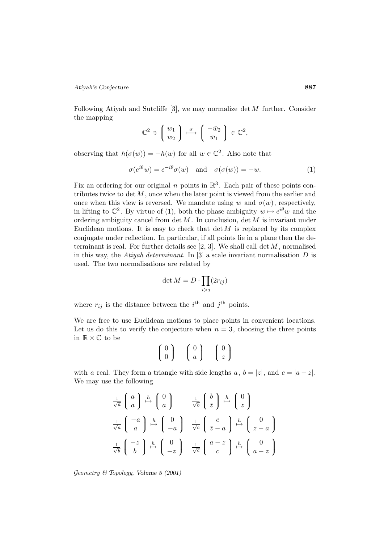*Atiyah's Conjecture* **887**

Following Atiyah and Sutcliffe  $[3]$ , we may normalize det M further. Consider the mapping

$$
\mathbb{C}^2 \ni \left( \begin{array}{c} w_1 \\ w_2 \end{array} \right) \stackrel{\sigma}{\longmapsto} \left( \begin{array}{c} -\bar{w}_2 \\ \bar{w}_1 \end{array} \right) \in \mathbb{C}^2,
$$

observing that  $h(\sigma(w)) = -h(w)$  for all  $w \in \mathbb{C}^2$ . Also note that

$$
\sigma(e^{i\theta}w) = e^{-i\theta}\sigma(w) \quad \text{and} \quad \sigma(\sigma(w)) = -w.
$$
 (1)

Fix an ordering for our original n points in  $\mathbb{R}^3$ . Each pair of these points contributes twice to  $\det M$ , once when the later point is viewed from the earlier and once when this view is reversed. We mandate using w and  $\sigma(w)$ , respectively, in lifting to  $\mathbb{C}^2$ . By virtue of (1), both the phase ambiguity  $w \mapsto e^{i\theta}w$  and the ordering ambiguity cancel from  $\det M$ . In conclusion,  $\det M$  is invariant under Euclidean motions. It is easy to check that  $\det M$  is replaced by its complex conjugate under reflection. In particular, if all points lie in a plane then the determinant is real. For further details see  $[2, 3]$ . We shall call det  $M$ , normalised in this way, the Atiyah determinant. In  $[3]$  a scale invariant normalisation D is used. The two normalisations are related by

$$
\det M = D \cdot \prod_{i > j} (2r_{ij})
$$

where  $r_{ij}$  is the distance between the  $i^{\text{th}}$  and  $j^{\text{th}}$  points.

We are free to use Euclidean motions to place points in convenient locations. Let us do this to verify the conjecture when  $n = 3$ , choosing the three points in  $\mathbb{R}\times\mathbb{C}$  to be

$$
\left(\begin{array}{c}0\\0\end{array}\right) \quad \left(\begin{array}{c}0\\a\end{array}\right) \quad \left(\begin{array}{c}0\\z\end{array}\right)
$$

with a real. They form a triangle with side lengths a,  $b = |z|$ , and  $c = |a - z|$ . We may use the following

$$
\frac{1}{\sqrt{a}} \begin{pmatrix} a \\ a \end{pmatrix} \xrightarrow{h} \begin{pmatrix} 0 \\ a \end{pmatrix} \xrightarrow{\frac{1}{\sqrt{b}} \begin{pmatrix} b \\ \overline{z} \end{pmatrix}} \xrightarrow{h} \begin{pmatrix} 0 \\ z \end{pmatrix}
$$

$$
\frac{1}{\sqrt{a}} \begin{pmatrix} -a \\ a \end{pmatrix} \xrightarrow{h} \begin{pmatrix} 0 \\ -a \end{pmatrix} \xrightarrow{\frac{1}{\sqrt{c}} \begin{pmatrix} c \\ \overline{z} - a \end{pmatrix} \xrightarrow{h} \begin{pmatrix} 0 \\ z - a \end{pmatrix}
$$

$$
\frac{1}{\sqrt{b}} \begin{pmatrix} -z \\ b \end{pmatrix} \xrightarrow{h} \begin{pmatrix} 0 \\ -z \end{pmatrix} \xrightarrow{\frac{1}{\sqrt{c}} \begin{pmatrix} a-z \\ c \end{pmatrix} \xrightarrow{h} \begin{pmatrix} 0 \\ a-z \end{pmatrix}
$$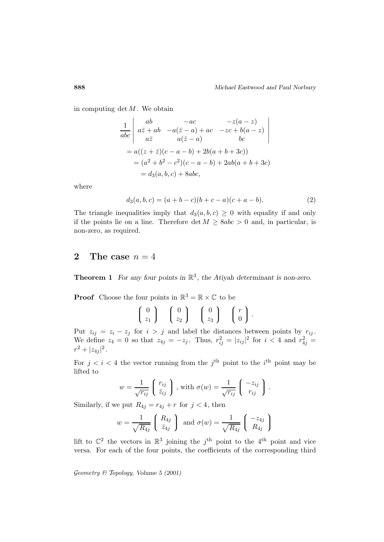in computing det  $M$ . We obtain

$$
\frac{1}{abc} \begin{vmatrix} ab & -ac & -z(a-z) \\ a\bar{z} + ab & -a(\bar{z} - a) + ac & -zc + b(a-z) \\ a\bar{z} & a(\bar{z} - a) & bc \end{vmatrix}
$$
  
=  $a((z + \bar{z})(c - a - b) + 2b(a + b + 3c))$   
=  $(a^2 + b^2 - c^2)(c - a - b) + 2ab(a + b + 3c)$   
=  $d_3(a, b, c) + 8abc$ ,

where

$$
d_3(a, b, c) = (a + b - c)(b + c - a)(c + a - b).
$$
 (2)

The triangle inequalities imply that  $d_3(a, b, c) \geq 0$  with equality if and only if the points lie on a line. Therefore  $\det M \geq 8abc > 0$  and, in particular, is non-zero, as required.

## **2** The case  $n = 4$

**Theorem 1** *For any four points in*  $\mathbb{R}^3$ *, the Atiyah determinant is non-zero.* 

**Proof** Choose the four points in  $\mathbb{R}^3 = \mathbb{R} \times \mathbb{C}$  to be  $\sqrt{ }$  $\begin{pmatrix} 0 \\ z_1 \end{pmatrix}$  $\mathbf{A}$  $\int$  $\sqrt{ }$  $\begin{pmatrix} 0 \\ z_2 \end{pmatrix}$  $\mathbf{A}$  $\int$  $\sqrt{ }$  $\begin{pmatrix} 0 \\ z_3 \end{pmatrix}$  $\mathbf{r}$  $\int$  $\sqrt{ }$  $\left\lceil \frac{r}{0} \right\rceil$  $\mathbf{A}$  $\int$ .

 $\overline{z_1}$ 

Put  $z_{ij} = z_i - z_j$  for  $i > j$  and label the distances between points by  $r_{ij}$ . We define  $z_4 = 0$  so that  $z_{4j} = -z_j$ . Thus,  $r_{ij}^2 = |z_{ij}|^2$  for  $i < 4$  and  $r_{4j}^2 =$  $r^2 + |z_{4j}|^2$ .

 $\overline{z_3}$ 

0

 $z_2$ 

For  $j < i < 4$  the vector running from the j<sup>th</sup> point to the i<sup>th</sup> point may be lifted to

$$
w = \frac{1}{\sqrt{r_{ij}}} \begin{pmatrix} r_{ij} \\ \bar{z}_{ij} \end{pmatrix}, \text{ with } \sigma(w) = \frac{1}{\sqrt{r_{ij}}} \begin{pmatrix} -z_{ij} \\ r_{ij} \end{pmatrix}.
$$

Similarly, if we put  $R_{4j} = r_{4j} + r$  for  $j < 4$ , then

$$
w = \frac{1}{\sqrt{R_{4j}}} \left( \begin{array}{c} R_{4j} \\ \bar{z}_{4j} \end{array} \right) \text{ and } \sigma(w) = \frac{1}{\sqrt{R_{4j}}} \left( \begin{array}{c} -z_{4j} \\ R_{4j} \end{array} \right)
$$

lift to  $\mathbb{C}^2$  the vectors in  $\mathbb{R}^3$  joining the j<sup>th</sup> point to the 4<sup>th</sup> point and vice versa. For each of the four points, the coefficients of the corresponding third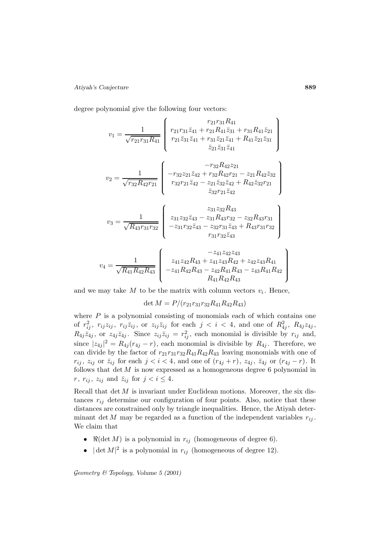#### *Atiyah's Conjecture* **889**

degree polynomial give the following four vectors:

$$
v_{1} = \frac{1}{\sqrt{r_{21}r_{31}R_{41}}} \begin{pmatrix} r_{21}r_{31}\bar{z}_{41} + r_{21}R_{41}\bar{z}_{31} + r_{31}R_{41}\bar{z}_{21} \\ r_{21}\bar{z}_{31}\bar{z}_{41} + r_{21}R_{41}\bar{z}_{31} + r_{31}R_{41}\bar{z}_{21}\bar{z}_{31} \\ \bar{z}_{21}\bar{z}_{31}\bar{z}_{41} + R_{41}\bar{z}_{21}\bar{z}_{31} \end{pmatrix}
$$

$$
v_{2} = \frac{1}{\sqrt{r_{32}R_{42}r_{21}}} \begin{pmatrix} -r_{32}R_{42}z_{11} \\ -r_{32}z_{21}\bar{z}_{42} + r_{32}R_{42}z_{12} \\ r_{32}r_{21}\bar{z}_{42} - z_{21}\bar{z}_{32}\bar{z}_{42} + R_{42}\bar{z}_{32}r_{21} \\ \bar{z}_{32}r_{21}\bar{z}_{42} \end{pmatrix}
$$

$$
v_{3} = \frac{1}{\sqrt{R_{43}r_{31}r_{32}}} \begin{pmatrix} z_{31}z_{32}\bar{z}_{43} - z_{31}R_{43}r_{32} - z_{32}R_{43}r_{31} \\ -z_{31}z_{32}\bar{z}_{43} - z_{31}R_{43}r_{32} - z_{32}R_{43}r_{31} \\ -z_{31}r_{32}\bar{z}_{43} - z_{32}r_{31}\bar{z}_{43} + R_{43}r_{31}r_{32} \\ r_{31}r_{32}\bar{z}_{43} \end{pmatrix}
$$

$$
v_{4} = \frac{1}{\sqrt{R_{41}R_{42}R_{43}}} \begin{pmatrix} -z_{41}z_{42}z_{43} \\ z_{41}z_{42}R_{43} + z_{41}z_{43}R_{42} + z_{42}z_{43}R_{41} \\ -z_{41}R_{42}R_{43} - z_{42}R_{41}R_{43} - z_{43}R_{41}R_{42} \\ R_{41}R_{42}R_{
$$

and we may take M to be the matrix with column vectors  $v_i$ . Hence,

$$
\det M = P/(r_{21}r_{31}r_{32}R_{41}R_{42}R_{43})
$$

where  $P$  is a polynomial consisting of monomials each of which contains one of  $r_{ij}^2$ ,  $r_{ij}z_{ij}$ ,  $r_{ij}\bar{z}_{ij}$ , or  $z_{ij}\bar{z}_{ij}$  for each  $j \leq i \leq 4$ , and one of  $R_{4j}^2$ ,  $R_{4j}z_{4j}$ ,  $R_{4j}\bar{z}_{4j}$ , or  $z_{4j}\bar{z}_{4j}$ . Since  $z_{ij}\bar{z}_{ij} = r_{ij}^2$ , each monomial is divisible by  $r_{ij}$  and, since  $|z_{4j}|^2 = R_{4j}(r_{4j} - r)$ , each monomial is divisible by  $R_{4j}$ . Therefore, we can divide by the factor of  $r_{21}r_{31}r_{32}R_{41}R_{42}R_{43}$  leaving monomials with one of  $r_{ij}$ ,  $z_{ij}$  or  $\bar{z}_{ij}$  for each  $j < i < 4$ , and one of  $(r_{4j} + r)$ ,  $z_{4j}$ ,  $\bar{z}_{4j}$  or  $(r_{4j} - r)$ . It follows that  $\det M$  is now expressed as a homogeneous degree 6 polynomial in  $r, r_{ij}, z_{ij} \text{ and } \bar{z}_{ij} \text{ for } j < i \leq 4.$ 

Recall that  $\det M$  is invariant under Euclidean motions. Moreover, the six distances  $r_{ij}$  determine our configuration of four points. Also, notice that these distances are constrained only by triangle inequalities. Hence, the Atiyah determinant det M may be regarded as a function of the independent variables  $r_{ij}$ . We claim that

- $\Re(\det M)$  is a polynomial in  $r_{ij}$  (homogeneous of degree 6).
- $|\det M|^2$  is a polynomial in  $r_{ij}$  (homogeneous of degree 12).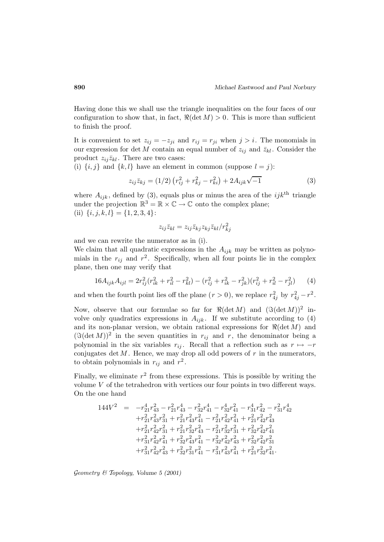Having done this we shall use the triangle inequalities on the four faces of our configuration to show that, in fact,  $\Re(\det M) > 0$ . This is more than sufficient to finish the proof.

It is convenient to set  $z_{ij} = -z_{ji}$  and  $r_{ij} = r_{ji}$  when  $j > i$ . The monomials in our expression for det M contain an equal number of  $z_{ij}$  and  $\bar{z}_{kl}$ . Consider the product  $z_{ij}\bar{z}_{kl}$ . There are two cases:

(i)  $\{i, j\}$  and  $\{k, l\}$  have an element in common (suppose  $l = j$ ):

$$
z_{ij}\bar{z}_{kj} = (1/2)\left(r_{ij}^2 + r_{kj}^2 - r_{ki}^2\right) + 2A_{ijk}\sqrt{-1}
$$
\n(3)

where  $A_{ijk}$ , defined by (3), equals plus or minus the area of the  $ijk$ <sup>th</sup> triangle under the projection  $\mathbb{R}^3 = \mathbb{R} \times \mathbb{C} \to \mathbb{C}$  onto the complex plane; (ii)  $\{i, j, k, l\} = \{1, 2, 3, 4\}$ :

$$
z_{ij}\bar{z}_{kl}=z_{ij}\bar{z}_{kj}z_{kj}\bar{z}_{kl}/r_{kj}^2
$$

and we can rewrite the numerator as in (i).

We claim that all quadratic expressions in the  $A_{ijk}$  may be written as polynomials in the  $r_{ij}$  and  $r^2$ . Specifically, when all four points lie in the complex plane, then one may verify that

$$
16A_{ijk}A_{ijl} = 2r_{ij}^2(r_{ik}^2 + r_{il}^2 - r_{kl}^2) - (r_{ij}^2 + r_{ik}^2 - r_{jk}^2)(r_{ij}^2 + r_{il}^2 - r_{jl}^2)
$$
 (4)

and when the fourth point lies off the plane  $(r > 0)$ , we replace  $r_{4j}^2$  by  $r_{4j}^2 - r^2$ .

Now, observe that our formulae so far for  $\Re(\det M)$  and  $(\Im(\det M))^2$  involve only quadratics expressions in  $A_{ijk}$ . If we substitute according to (4) and its non-planar version, we obtain rational expressions for  $\Re(\det M)$  and  $(\Im(\det M))^2$  in the seven quantities in  $r_{ij}$  and r, the denominator being a polynomial in the six variables  $r_{ij}$ . Recall that a reflection such as  $r \mapsto -r$ conjugates det  $M$ . Hence, we may drop all odd powers of  $r$  in the numerators, to obtain polynomials in  $r_{ij}$  and  $r^2$ .

Finally, we eliminate  $r^2$  from these expressions. This is possible by writing the volume V of the tetrahedron with vertices our four points in two different ways. On the one hand

$$
\begin{array}{rcl} 144V^2&=&-r_{21}^4r_{43}^2-r_{21}^2r_{43}^4-r_{32}^2r_{41}^4-r_{32}^4r_{41}^2-r_{31}^2r_{42}^2-r_{31}^2r_{42}^4\\&+r_{21}^2r_{43}^2r_{31}^2+r_{21}^2r_{43}^2r_{41}^2-r_{21}^2r_{42}^2r_{41}^2+r_{21}^2r_{42}^2r_{43}^2\\&+r_{21}^2r_{42}^2r_{31}^2+r_{21}^2r_{32}^2r_{43}^2-r_{21}^2r_{32}^2r_{31}^2+r_{32}^2r_{42}^2r_{41}^2\\&+r_{31}^2r_{42}^2r_{41}^2+r_{32}^2r_{43}^2r_{41}^2-r_{32}^2r_{42}^2r_{43}^2+r_{32}^2r_{42}^2r_{31}^2\\&+r_{31}^2r_{42}^2r_{43}^2+r_{32}^2r_{31}^2r_{41}^2-r_{31}^2r_{43}^2r_{41}^2+r_{21}^2r_{32}^2r_{41}^2.\end{array}
$$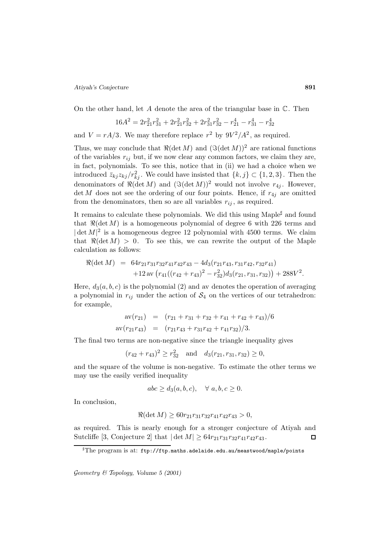#### *Atiyah's Conjecture* **891**

On the other hand, let A denote the area of the triangular base in  $\mathbb{C}$ . Then

$$
16A^2=2r_{21}^2r_{31}^2+2r_{21}^2r_{32}^2+2r_{31}^2r_{32}^2-r_{21}^4-r_{31}^4-r_{32}^4\\
$$

and  $V = rA/3$ . We may therefore replace  $r^2$  by  $9V^2/A^2$ , as required.

Thus, we may conclude that  $\Re(\det M)$  and  $(\Im(\det M))^2$  are rational functions of the variables  $r_{ij}$  but, if we now clear any common factors, we claim they are, in fact, polynomials. To see this, notice that in (ii) we had a choice when we introduced  $\bar{z}_{kj}z_{kj}/r_{kj}^2$ . We could have insisted that  $\{k, j\} \subset \{1, 2, 3\}$ . Then the denominators of  $\Re(\det M)$  and  $(\Im(\det M))^2$  would not involve  $r_{4j}$ . However,  $\det M$  does not see the ordering of our four points. Hence, if  $r_{4j}$  are omitted from the denominators, then so are all variables  $r_{ij}$ , as required.

It remains to calculate these polynomials. We did this using Maple<sup> $\sharp$ </sup> and found that  $\Re(\det M)$  is a homogeneous polynomial of degree 6 with 226 terms and  $|\det M|^2$  is a homogeneous degree 12 polynomial with 4500 terms. We claim that  $\Re(\det M) > 0$ . To see this, we can rewrite the output of the Maple calculation as follows:

$$
\Re(\det M) = 64r_{21}r_{31}r_{32}r_{41}r_{42}r_{43} - 4d_3(r_{21}r_{43}, r_{31}r_{42}, r_{32}r_{41}) +12 \operatorname{av} (r_{41}((r_{42} + r_{43})^2 - r_{32}^2)d_3(r_{21}, r_{31}, r_{32})) + 288V^2.
$$

Here,  $d_3(a, b, c)$  is the polynomial (2) and av denotes the operation of averaging a polynomial in  $r_{ij}$  under the action of  $S_4$  on the vertices of our tetrahedron: for example,

$$
av(r_{21}) = (r_{21} + r_{31} + r_{32} + r_{41} + r_{42} + r_{43})/6
$$
  

$$
av(r_{21}r_{43}) = (r_{21}r_{43} + r_{31}r_{42} + r_{41}r_{32})/3.
$$

The final two terms are non-negative since the triangle inequality gives

 $(r_{42} + r_{43})^2 \ge r_{32}^2$  and  $d_3(r_{21}, r_{31}, r_{32}) \ge 0$ ,

and the square of the volume is non-negative. To estimate the other terms we may use the easily verified inequality

$$
abc \ge d_3(a, b, c), \quad \forall \ a, b, c \ge 0.
$$

In conclusion,

$$
\Re(\det M) \ge 60r_{21}r_{31}r_{32}r_{41}r_{42}r_{43} > 0,
$$

as required. This is nearly enough for a stronger conjecture of Atiyah and Sutcliffe [3, Conjecture 2] that  $|\det M| \geq 64r_{21}r_{31}r_{32}r_{41}r_{42}r_{43}$ .  $\Box$ 

 $^{\sharp}\mathrm{The\ program\ is\ at:\ ftp://ftp.maths.addlaide.edu.au/meastwood/maple/points}$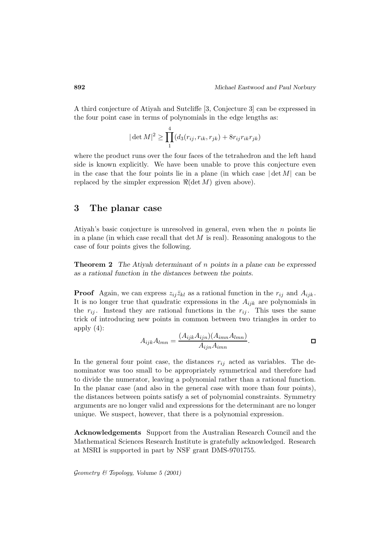A third conjecture of Atiyah and Sutcliffe [3, Conjecture 3] can be expressed in the four point case in terms of polynomials in the edge lengths as:

$$
|\det M|^2 \ge \prod_1^4 (d_3(r_{ij}, r_{ik}, r_{jk}) + 8r_{ij}r_{ik}r_{jk})
$$

where the product runs over the four faces of the tetrahedron and the left hand side is known explicitly. We have been unable to prove this conjecture even in the case that the four points lie in a plane (in which case  $|\det M|$  can be replaced by the simpler expression  $\Re(\det M)$  given above).

### **3 The planar case**

Atiyah's basic conjecture is unresolved in general, even when the  $n$  points lie in a plane (in which case recall that det  $M$  is real). Reasoning analogous to the case of four points gives the following.

**Theorem 2** *The Atiyah determinant of* n *points in a plane can be expressed as a rational function in the distances between the points.*

**Proof** Again, we can express  $z_{ij}\bar{z}_{kl}$  as a rational function in the  $r_{ij}$  and  $A_{ijk}$ . It is no longer true that quadratic expressions in the  $A_{ijk}$  are polynomials in the  $r_{ij}$ . Instead they are rational functions in the  $r_{ij}$ . This uses the same trick of introducing new points in common between two triangles in order to apply  $(4)$ :

$$
A_{ijk}A_{lmn} = \frac{(A_{ijk}A_{ijn})(A_{imn}A_{lmn})}{A_{ijn}A_{imn}}.
$$

In the general four point case, the distances  $r_{ij}$  acted as variables. The denominator was too small to be appropriately symmetrical and therefore had to divide the numerator, leaving a polynomial rather than a rational function. In the planar case (and also in the general case with more than four points), the distances between points satisfy a set of polynomial constraints. Symmetry arguments are no longer valid and expressions for the determinant are no longer unique. We suspect, however, that there is a polynomial expression.

**Acknowledgements** Support from the Australian Research Council and the Mathematical Sciences Research Institute is gratefully acknowledged. Research at MSRI is supported in part by NSF grant DMS-9701755.